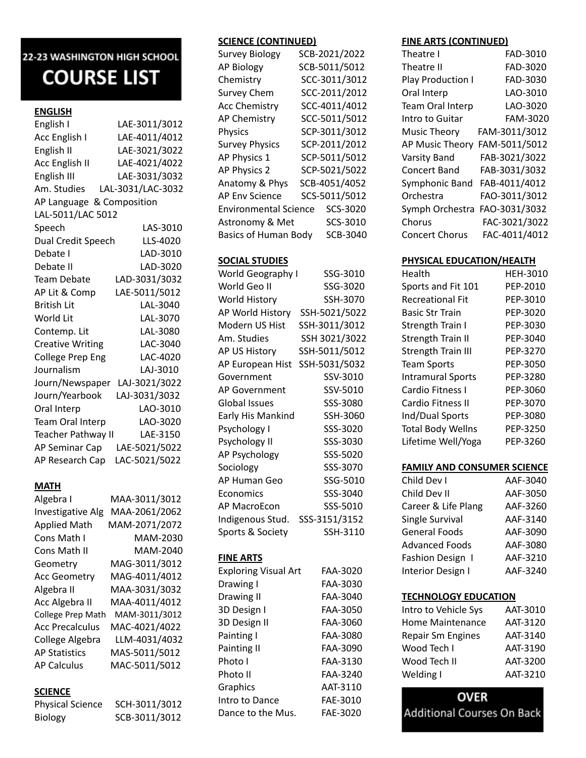# 22-23 WASHINGTON HIGH SCHOOL **COURSE LIST**

# **ENGLISH**

| English I               | LAE-3011/3012     |
|-------------------------|-------------------|
| Acc English I           | LAE-4011/4012     |
| English II              | LAE-3021/3022     |
| Acc English II          | LAE-4021/4022     |
| English III             | LAE-3031/3032     |
| Am. Studies             | LAL-3031/LAC-3032 |
| AP Language             | & Composition     |
| LAL-5011/LAC 5012       |                   |
| Speech                  | LAS-3010          |
| Dual Credit Speech      | LLS-4020          |
| Debate I                | LAD-3010          |
| Debate II               | LAD-3020          |
| <b>Team Debate</b>      | LAD-3031/3032     |
| AP Lit & Comp           | LAE-5011/5012     |
| <b>British Lit</b>      | LAL-3040          |
| World Lit               | LAL-3070          |
| Contemp. Lit            | LAL-3080          |
| <b>Creative Writing</b> | LAC-3040          |
| <b>College Prep Eng</b> | LAC-4020          |
| Journalism              | LAJ-3010          |
| Journ/Newspaper         | LAJ-3021/3022     |
| Journ/Yearbook          | LAJ-3031/3032     |
| Oral Interp             | LAO-3010          |
| Team Oral Interp        | LAO-3020          |
| Teacher Pathway II      | LAE-3150          |
| AP Seminar Cap          | LAE-5021/5022     |
| AP Research Cap         | LAC-5021/5022     |

# **MATH**

| Algebra I                | MAA-3011/3012 |
|--------------------------|---------------|
| <b>Investigative Alg</b> | MAA-2061/2062 |
| <b>Applied Math</b>      | MAM-2071/2072 |
| Cons Math I              | MAM-2030      |
| Cons Math II             | MAM-2040      |
| Geometry                 | MAG-3011/3012 |
| <b>Acc Geometry</b>      | MAG-4011/4012 |
| Algebra II               | MAA-3031/3032 |
| Acc Algebra II           | MAA-4011/4012 |
| <b>College Prep Math</b> | MAM-3011/3012 |
| <b>Acc Precalculus</b>   | MAC-4021/4022 |
| College Algebra          | LLM-4031/4032 |
| <b>AP Statistics</b>     | MAS-5011/5012 |
| <b>AP Calculus</b>       | MAC-5011/5012 |

# **SCIENCE**

| <b>Physical Science</b> | SCH-3011/3012 |
|-------------------------|---------------|
| Biology                 | SCB-3011/3012 |

# **SCIENCE (CONTINUED)**

| <b>Survey Biology</b>        | SCB-2021/2022 |
|------------------------------|---------------|
| AP Biology                   | SCB-5011/5012 |
| Chemistry                    | SCC-3011/3012 |
| <b>Survey Chem</b>           | SCC-2011/2012 |
| <b>Acc Chemistry</b>         | SCC-4011/4012 |
| AP Chemistry                 | SCC-5011/5012 |
| Physics                      | SCP-3011/3012 |
| <b>Survey Physics</b>        | SCP-2011/2012 |
| AP Physics 1                 | SCP-5011/5012 |
| AP Physics 2                 | SCP-5021/5022 |
| Anatomy & Phys               | SCB-4051/4052 |
| <b>AP Env Science</b>        | SCS-5011/5012 |
| <b>Environmental Science</b> | SCS-3020      |
| Astronomy & Met              | SCS-3010      |
| <b>Basics of Human Body</b>  | SCB-3040      |

#### **SOCIAL STUDIES**

| World Geography I | SSG-3010      |
|-------------------|---------------|
| World Geo II      | SSG-3020      |
| World History     | SSH-3070      |
| AP World History  | SSH-5021/5022 |
| Modern US Hist    | SSH-3011/3012 |
| Am. Studies       | SSH 3021/3022 |
| AP US History     | SSH-5011/5012 |
| AP European Hist  | SSH-5031/5032 |
| Government        | SSV-3010      |
| AP Government     | SSV-5010      |
| Global Issues     | SSS-3080      |
| Early His Mankind | SSH-3060      |
| Psychology I      | SSS-3020      |
| Psychology II     | SSS-3030      |
| AP Psychology     | SSS-5020      |
| Sociology         | SSS-3070      |
| AP Human Geo      | SSG-5010      |
| Economics         | SSS-3040      |
| AP MacroEcon      | SSS-5010      |
| Indigenous Stud.  | SSS-3151/3152 |
| Sports & Society  | SSH-3110      |

## **FINE ARTS**

| FAA-3020 |
|----------|
| FAA-3030 |
| FAA-3040 |
| FAA-3050 |
| FAA-3060 |
| FAA-3080 |
| FAA-3090 |
| FAA-3130 |
| FAA-3240 |
| AAT-3110 |
| FAE-3010 |
| FAF-3020 |
|          |

#### **FINE ARTS (CONTINUED)**

| Theatre I             | FAD-3010      |
|-----------------------|---------------|
| Theatre II            | FAD-3020      |
| Play Production I     | FAD-3030      |
| Oral Interp           | LAO-3010      |
| Team Oral Interp      | LAO-3020      |
| Intro to Guitar       | FAM-3020      |
| <b>Music Theory</b>   | FAM-3011/3012 |
| AP Music Theory       | FAM-5011/5012 |
| Varsity Band          | FAB-3021/3022 |
| <b>Concert Band</b>   | FAB-3031/3032 |
| Symphonic Band        | FAB-4011/4012 |
| Orchestra             | FAO-3011/3012 |
| Symph Orchestra       | FAO-3031/3032 |
| Chorus                | FAC-3021/3022 |
| <b>Concert Chorus</b> | FAC-4011/4012 |

## **PHYSICAL EDUCATION/HEALTH**

| Health                    | HFH-3010 |
|---------------------------|----------|
| Sports and Fit 101        | PEP-2010 |
| <b>Recreational Fit</b>   | PEP-3010 |
| <b>Basic Str Train</b>    | PEP-3020 |
| <b>Strength Train I</b>   | PEP-3030 |
| <b>Strength Train II</b>  | PEP-3040 |
| <b>Strength Train III</b> | PEP-3270 |
| <b>Team Sports</b>        | PFP-3050 |
| <b>Intramural Sports</b>  | PEP-3280 |
| Cardio Fitness I          | PEP-3060 |
| Cardio Fitness II         | PEP-3070 |
| Ind/Dual Sports           | PEP-3080 |
| <b>Total Body Wellns</b>  | PEP-3250 |
| Lifetime Well/Yoga        | PEP-3260 |

#### **FAMILY AND CONSUMER SCIENCE**

| Child Dev I           | AAF-3040 |
|-----------------------|----------|
| Child Dev II          | AAF-3050 |
| Career & Life Plang   | AAF-3260 |
| Single Survival       | AAF-3140 |
| <b>General Foods</b>  | AAF-3090 |
| <b>Advanced Foods</b> | AAF-3080 |
| Fashion Design 1      | AAF-3210 |
| Interior Design I     | AAF-3240 |

# **TECHNOLOGY EDUCATION**

| Intro to Vehicle Sys     | AAT-3010 |
|--------------------------|----------|
| <b>Home Maintenance</b>  | AAT-3120 |
| <b>Repair Sm Engines</b> | AAT-3140 |
| Wood Tech I              | AAT-3190 |
| Wood Tech II             | AAT-3200 |
| Welding I                | AAT-3210 |

# **OVER Additional Courses On Back**